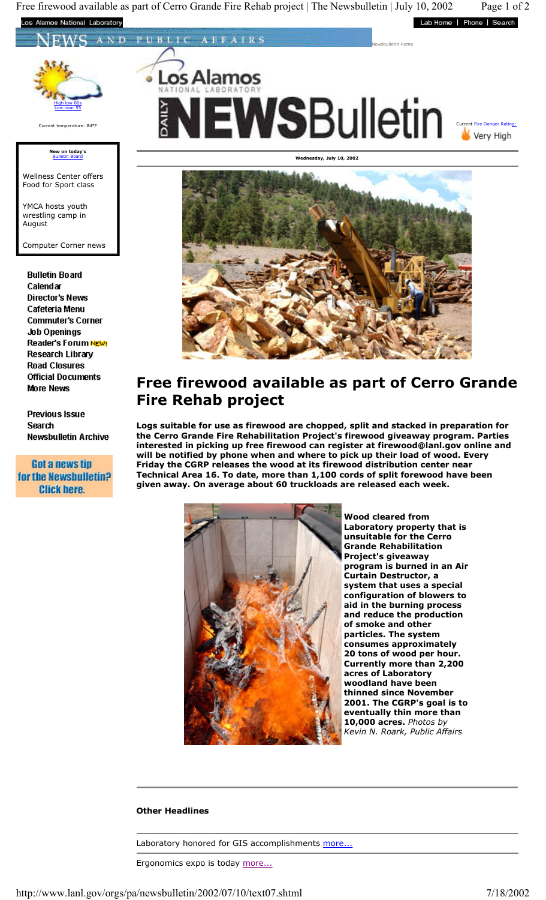Free firewood available as part of Cerro Grande Fire Rehab project | The Newsbulletin | July 10, 2002 Page 1 of 2 os National Laboratory Lab Home | Phone | Search

ND PUBLIC AFFAIRS



## **New on today's**  Bulletin Board

Wellness Center offers Food for Sport class

YMCA hosts youth wrestling camp in August

Computer Corner news

**Bulletin Board** Calendar **Director's News** Cafeteria Menu **Commuter's Corner Job Openings** Reader's Forum NEW! Research Library **Road Closures Official Documents More News** 

**Previous Issue** Search **Newsbulletin Archive** 

Got a news tip for the Newsbulletin? **Click here.** 





## **Free firewood available as part of Cerro Grande Fire Rehab project**

**Logs suitable for use as firewood are chopped, split and stacked in preparation for the Cerro Grande Fire Rehabilitation Project's firewood giveaway program. Parties interested in picking up free firewood can register at firewood@lanl.gov online and will be notified by phone when and where to pick up their load of wood. Every Friday the CGRP releases the wood at its firewood distribution center near Technical Area 16. To date, more than 1,100 cords of split forewood have been given away. On average about 60 truckloads are released each week.**



**Wood cleared from Laboratory property that is unsuitable for the Cerro Grande Rehabilitation Project's giveaway program is burned in an Air Curtain Destructor, a system that uses a special configuration of blowers to aid in the burning process and reduce the production of smoke and other particles. The system consumes approximately 20 tons of wood per hour. Currently more than 2,200 acres of Laboratory woodland have been thinned since November 2001. The CGRP's goal is to eventually thin more than 10,000 acres.** *Photos by Kevin N. Roark, Public Affairs*

## **Other Headlines**

Laboratory honored for GIS accomplishments more...

Ergonomics expo is today more...